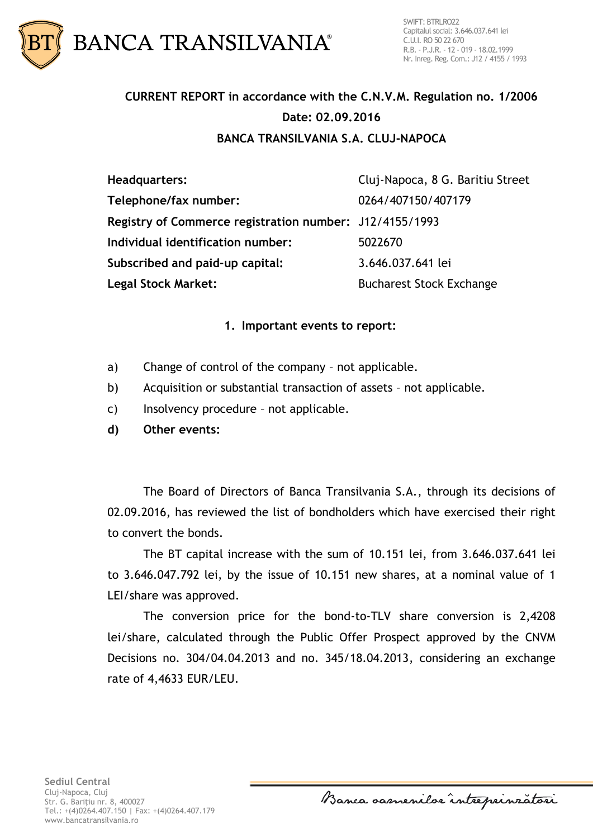

## **CURRENT REPORT in accordance with the C.N.V.M. Regulation no. 1/2006 Date: 02.09.2016 BANCA TRANSILVANIA S.A. CLUJ-NAPOCA**

**Headquarters:** Cluj-Napoca, 8 G. Baritiu Street **Telephone/fax number:** 0264/407150/407179 **Registry of Commerce registration number:** J12/4155/1993 **Individual identification number:** 5022670 **Subscribed and paid-up capital:** 3.646.037.641 lei **Legal Stock Market:** Bucharest Stock Exchange

## **1. Important events to report:**

- a) Change of control of the company not applicable.
- b) Acquisition or substantial transaction of assets not applicable.
- c) Insolvency procedure not applicable.
- **d) Other events:**

The Board of Directors of Banca Transilvania S.A., through its decisions of 02.09.2016, has reviewed the list of bondholders which have exercised their right to convert the bonds.

The BT capital increase with the sum of 10.151 lei, from 3.646.037.641 lei to 3.646.047.792 lei, by the issue of 10.151 new shares, at a nominal value of 1 LEI/share was approved.

The conversion price for the bond-to-TLV share conversion is 2,4208 lei/share, calculated through the Public Offer Prospect approved by the CNVM Decisions no. 304/04.04.2013 and no. 345/18.04.2013, considering an exchange rate of 4,4633 EUR/LEU.

Banca samenilor intreprinzatori